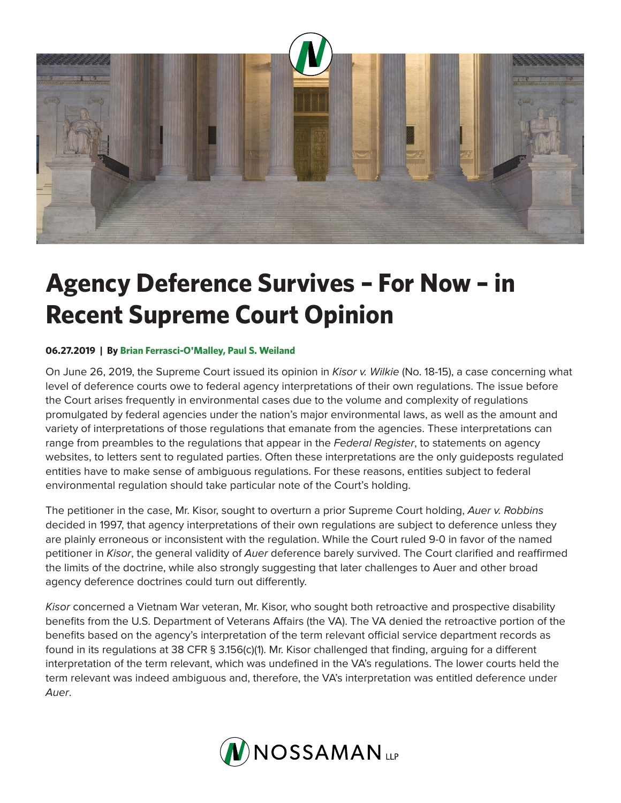

## **Agency Deference Survives – For Now – in Recent Supreme Court Opinion**

## **06.27.2019 | By Brian Ferrasci-O'Malley, Paul S. Weiland**

On June 26, 2019, the Supreme Court issued its opinion in *Kisor v. Wilkie* (No. 18-15), a case concerning what level of deference courts owe to federal agency interpretations of their own regulations. The issue before the Court arises frequently in environmental cases due to the volume and complexity of regulations promulgated by federal agencies under the nation's major environmental laws, as well as the amount and variety of interpretations of those regulations that emanate from the agencies. These interpretations can range from preambles to the regulations that appear in the *Federal Register*, to statements on agency websites, to letters sent to regulated parties. Often these interpretations are the only guideposts regulated entities have to make sense of ambiguous regulations. For these reasons, entities subject to federal environmental regulation should take particular note of the Court's holding.

The petitioner in the case, Mr. Kisor, sought to overturn a prior Supreme Court holding, *Auer v. Robbins* decided in 1997, that agency interpretations of their own regulations are subject to deference unless they are plainly erroneous or inconsistent with the regulation. While the Court ruled 9-0 in favor of the named petitioner in *Kisor*, the general validity of *Auer* deference barely survived. The Court clarified and reaffirmed the limits of the doctrine, while also strongly suggesting that later challenges to Auer and other broad agency deference doctrines could turn out differently.

*Kisor* concerned a Vietnam War veteran, Mr. Kisor, who sought both retroactive and prospective disability benefits from the U.S. Department of Veterans Affairs (the VA). The VA denied the retroactive portion of the benefits based on the agency's interpretation of the term relevant official service department records as found in its regulations at 38 CFR § 3.156(c)(1). Mr. Kisor challenged that finding, arguing for a different interpretation of the term relevant, which was undefined in the VA's regulations. The lower courts held the term relevant was indeed ambiguous and, therefore, the VA's interpretation was entitled deference under *Auer*.